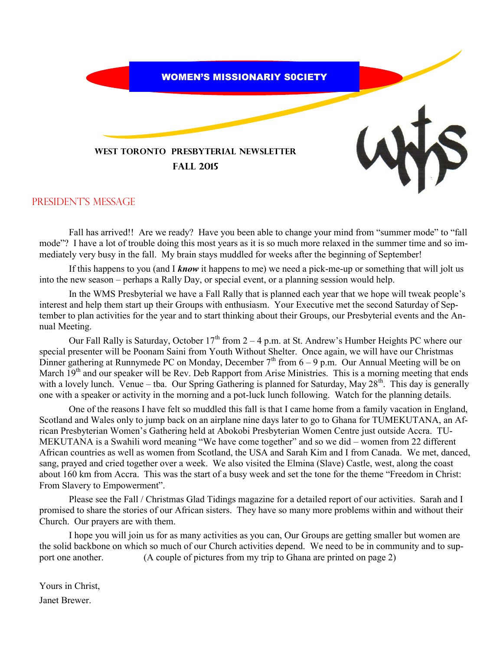

### President's message

Fall has arrived!! Are we ready? Have you been able to change your mind from "summer mode" to "fall mode"? I have a lot of trouble doing this most years as it is so much more relaxed in the summer time and so immediately very busy in the fall. My brain stays muddled for weeks after the beginning of September!

If this happens to you (and I *know* it happens to me) we need a pick-me-up or something that will jolt us into the new season – perhaps a Rally Day, or special event, or a planning session would help.

In the WMS Presbyterial we have a Fall Rally that is planned each year that we hope will tweak people's interest and help them start up their Groups with enthusiasm. Your Executive met the second Saturday of September to plan activities for the year and to start thinking about their Groups, our Presbyterial events and the Annual Meeting.

Our Fall Rally is Saturday, October  $17<sup>th</sup>$  from 2 – 4 p.m. at St. Andrew's Humber Heights PC where our special presenter will be Poonam Saini from Youth Without Shelter. Once again, we will have our Christmas Dinner gathering at Runnymede PC on Monday, December  $7<sup>th</sup>$  from 6 – 9 p.m. Our Annual Meeting will be on March 19<sup>th</sup> and our speaker will be Rev. Deb Rapport from Arise Ministries. This is a morning meeting that ends with a lovely lunch. Venue – tba. Our Spring Gathering is planned for Saturday, May  $28^{th}$ . This day is generally one with a speaker or activity in the morning and a pot-luck lunch following. Watch for the planning details.

One of the reasons I have felt so muddled this fall is that I came home from a family vacation in England, Scotland and Wales only to jump back on an airplane nine days later to go to Ghana for TUMEKUTANA, an African Presbyterian Women's Gathering held at Abokobi Presbyterian Women Centre just outside Accra. TU-MEKUTANA is a Swahili word meaning "We have come together" and so we did – women from 22 different African countries as well as women from Scotland, the USA and Sarah Kim and I from Canada. We met, danced, sang, prayed and cried together over a week. We also visited the Elmina (Slave) Castle, west, along the coast about 160 km from Accra. This was the start of a busy week and set the tone for the theme "Freedom in Christ: From Slavery to Empowerment".

Please see the Fall / Christmas Glad Tidings magazine for a detailed report of our activities. Sarah and I promised to share the stories of our African sisters. They have so many more problems within and without their Church. Our prayers are with them.

I hope you will join us for as many activities as you can, Our Groups are getting smaller but women are the solid backbone on which so much of our Church activities depend. We need to be in community and to support one another. (A couple of pictures from my trip to Ghana are printed on page 2)

Yours in Christ, Janet Brewer.